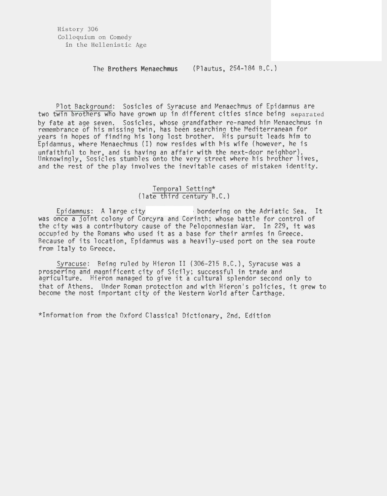History 306 Colloquium on Comedy in the Hellenistic Age

#### The **Brothers Menaechmus**  (Plautus, 254-184 B.C.)

Plot Background: Sosicles of Syracuse and Menaechmus of Epidamnus are two twin brothers who have grown up in different cities since being separated by fate at age seven. Sosicles, whose grandfather re-named him Menaechmus in remembrance of his missing twin, has been searching the Mediterranean for years in hopes of finding his long lost brother. His pursuit leads him to Epidamnus, where Menaechmus (I) now resides with his wife (however, he is unfaithful to her, and is having an affair with the next-door neighbor). Unknowingly, Sosicles stumbles onto the very street where his brother lives, and the rest of the play involves the inevitable cases of mistaken identity.

# Temporal Setting\*<br>(late third century B.C.)

Epidamnus: A large city **2008** bordering on the Adriatic Sea. It was once a joint colony of Corcyra and Corinth; whose battle for control of the city was a contributory cause of the Peloponnesian War. In 229, it was occupied by the Romans who used it as a base for their armies in Greece. Because of its location, Epidamnus was a heavily-used port on the sea route from Italy to Greece.

Syracuse: Being ruled by Hieron II (306-215 B.C.), Syracuse was a prospering and magnificent city of Sicily; successful in trade and agriculture. Hieron managed to give it a cultural splendor second only to that of Athens. Under Roman protection and with Hieron's policies, it grew to become the most important city of the Western World after Carthage.

\*Information from the Oxford Classical Dictionary, 2nd. Edition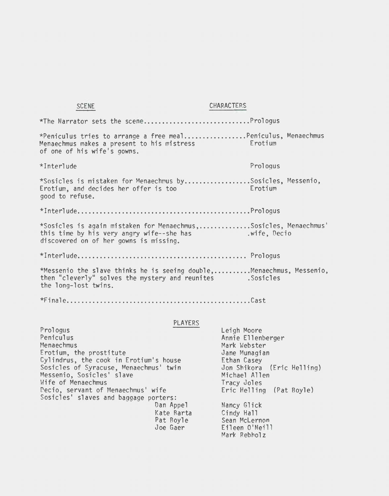| <b>SCENE</b>                                                                                                                                               | <b>CHARACTERS</b>                       |
|------------------------------------------------------------------------------------------------------------------------------------------------------------|-----------------------------------------|
|                                                                                                                                                            |                                         |
| *Peniculus tries to arrange a free mealPeniculus, Menaechmus<br>Menaechmus makes a present to his mistress<br>of one of his wife's gowns.                  | <b>Example 19</b> Experience Experience |
| $*InterIude$                                                                                                                                               | Prologus                                |
| *Sosicles is mistaken for Menaechmus bySosicles, Messenio,<br>Erotium, and decides her offer is too<br>good to refuse.                                     | <b>Example 19</b> Exportium             |
|                                                                                                                                                            |                                         |
| *Sosicles is again mistaken for Menaechmus,Sosicles, Menaechmus'<br>this time by his very angry wife--she has<br>discovered on of her gowns is missing.    | .wife, Decio                            |
|                                                                                                                                                            |                                         |
| *Messenio the slave thinks he is seeing double,Menaechmus, Messenio,<br>then "cleverly" solves the mystery and reunites . Sosicles<br>the long-lost twins. |                                         |

**\*Final e .................................................. Cast** 

## PLAYERS

Prol ogus **Peniculus** Menaechmus Erotium, the prostitute Cylindrus, the cook in Erotium's house Sosicles of Syracuse, Menaechmus' twin Messenio, Sosicles' slave Wife of Menaechmus Decio, servant of Menaechmus' wife Sosicles' slaves and baggage porters: Dan Appel Kate Barta Pat Boyle Joe Gaer

Leigh Moore Annie Ellenberger Mark Webster Jane Munagian Ethan Casey Jon Shikora (Eric Helling) Michael Allen Tracy Joles Eric Helling (Pat Boyle) Nancy Glick Cindy Hall Sean McLernon Eileen O'Neill Mark Rebholz